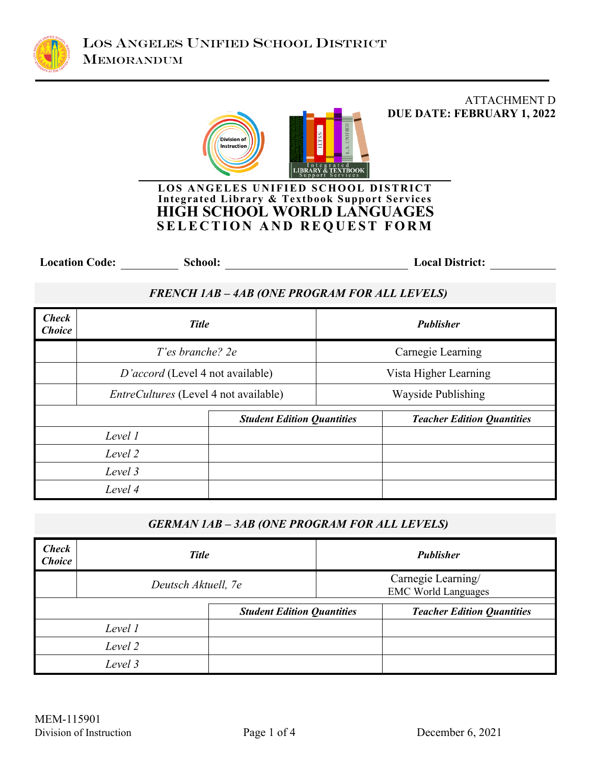

# ATTACHMENT D **DUE DATE: FEBRUARY 1, 2022** Division of Instruction а<br>ВООК **LOS ANGELES UNIFIED SCHOOL DISTRICT**

## **Integrated Library & Textbook Support Services HIGH SCHOOL WORLD LANGUAGES SELECTION AND REQUEST FORM**

Location Code: School: <u>School: School: School: Local District:</u> Local District:

## *FRENCH 1AB – 4AB (ONE PROGRAM FOR ALL LEVELS)*

| <b>Check</b><br><b>Choice</b>     | <b>Title</b>                                 |  | <b>Publisher</b>                  |                   |
|-----------------------------------|----------------------------------------------|--|-----------------------------------|-------------------|
|                                   | T'es branche? 2e                             |  |                                   | Carnegie Learning |
|                                   | D'accord (Level 4 not available)             |  | Vista Higher Learning             |                   |
|                                   | <i>EntreCultures</i> (Level 4 not available) |  | Wayside Publishing                |                   |
| <b>Student Edition Quantities</b> |                                              |  | <b>Teacher Edition Quantities</b> |                   |
|                                   | Level 1                                      |  |                                   |                   |
| Level 2                           |                                              |  |                                   |                   |
|                                   | Level 3                                      |  |                                   |                   |
|                                   | Level 4                                      |  |                                   |                   |

## *GERMAN 1AB – 3AB (ONE PROGRAM FOR ALL LEVELS)*

| <b>Check</b><br><b>Choice</b> | <b>Title</b>        |                                                  | <b>Publisher</b> |                                   |
|-------------------------------|---------------------|--------------------------------------------------|------------------|-----------------------------------|
|                               | Deutsch Aktuell, 7e | Carnegie Learning/<br><b>EMC World Languages</b> |                  |                                   |
|                               |                     | <b>Student Edition Quantities</b>                |                  | <b>Teacher Edition Quantities</b> |
|                               | Level 1             |                                                  |                  |                                   |
|                               | Level 2             |                                                  |                  |                                   |
|                               | Level 3             |                                                  |                  |                                   |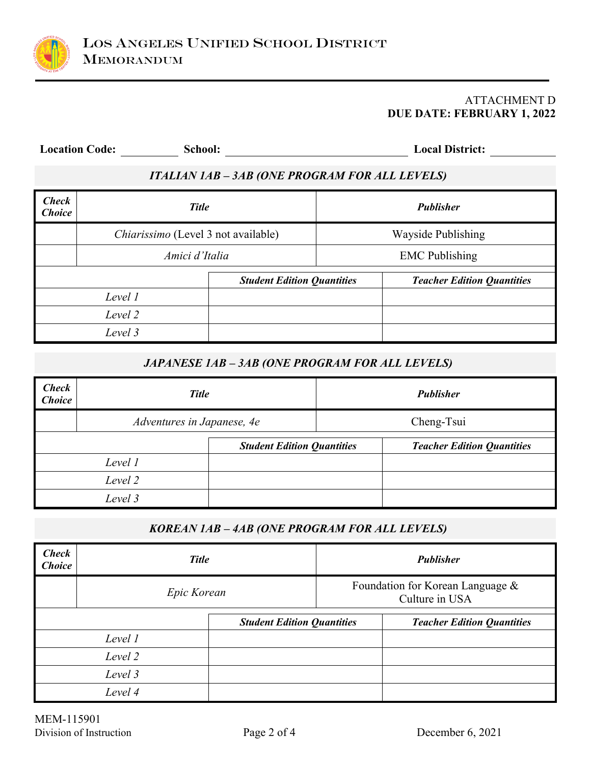

#### ATTACHMENT D **DUE DATE: FEBRUARY 1, 2022**

| <b>Location Code:</b>         |                                                       | School:                           | <b>Local District:</b> |                                   |  |  |  |
|-------------------------------|-------------------------------------------------------|-----------------------------------|------------------------|-----------------------------------|--|--|--|
|                               | <b>ITALIAN 1AB - 3AB (ONE PROGRAM FOR ALL LEVELS)</b> |                                   |                        |                                   |  |  |  |
| <b>Check</b><br><b>Choice</b> |                                                       | <b>Title</b>                      |                        | <b>Publisher</b>                  |  |  |  |
|                               | Chiarissimo (Level 3 not available)                   |                                   |                        | Wayside Publishing                |  |  |  |
|                               | Amici d'Italia                                        |                                   | <b>EMC</b> Publishing  |                                   |  |  |  |
|                               |                                                       | <b>Student Edition Quantities</b> |                        | <b>Teacher Edition Quantities</b> |  |  |  |
| Level 1                       |                                                       |                                   |                        |                                   |  |  |  |
| Level 2                       |                                                       |                                   |                        |                                   |  |  |  |
|                               | Level 3                                               |                                   |                        |                                   |  |  |  |

## *JAPANESE 1AB – 3AB (ONE PROGRAM FOR ALL LEVELS)*

| <b>Check</b><br><b>Choice</b> | <b>Title</b>               |                                   | <b>Publisher</b> |                                   |
|-------------------------------|----------------------------|-----------------------------------|------------------|-----------------------------------|
|                               | Adventures in Japanese, 4e |                                   |                  | Cheng-Tsui                        |
|                               |                            |                                   |                  |                                   |
|                               |                            | <b>Student Edition Quantities</b> |                  | <b>Teacher Edition Quantities</b> |
|                               | Level 1                    |                                   |                  |                                   |
|                               | Level 2                    |                                   |                  |                                   |
|                               | Level 3                    |                                   |                  |                                   |

## *KOREAN 1AB – 4AB (ONE PROGRAM FOR ALL LEVELS)*

| <b>Check</b><br><b>Choice</b>     | <b>Title</b> |  | <b>Publisher</b>                                   |  |
|-----------------------------------|--------------|--|----------------------------------------------------|--|
|                                   | Epic Korean  |  | Foundation for Korean Language &<br>Culture in USA |  |
| <b>Student Edition Quantities</b> |              |  | <b>Teacher Edition Quantities</b>                  |  |
| Level 1                           |              |  |                                                    |  |
| Level 2                           |              |  |                                                    |  |
| Level 3                           |              |  |                                                    |  |
| Level 4                           |              |  |                                                    |  |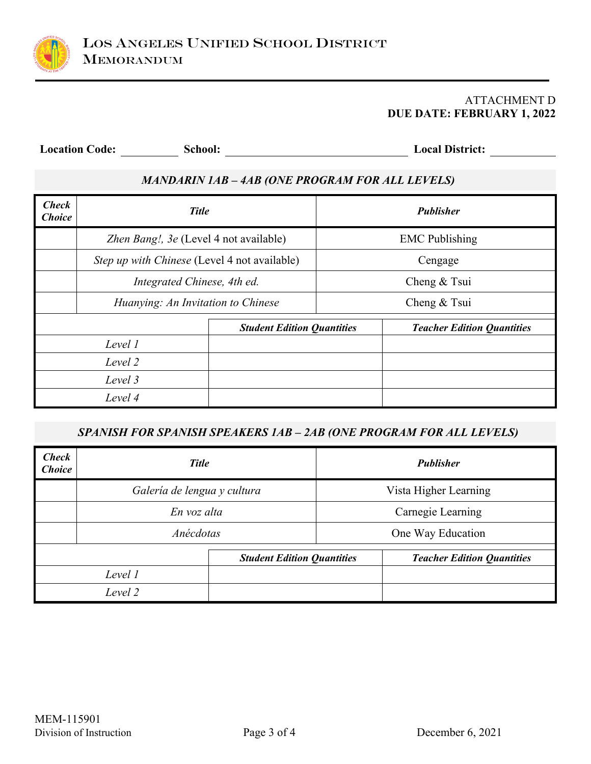

#### ATTACHMENT D **DUE DATE: FEBRUARY 1, 2022**

**Location Code: School: Local District:**

## *MANDARIN 1AB – 4AB (ONE PROGRAM FOR ALL LEVELS)*

| <b>Check</b><br><b>Choice</b>     | <b>Title</b>                                 |  |                                   | <b>Publisher</b> |
|-----------------------------------|----------------------------------------------|--|-----------------------------------|------------------|
|                                   | Zhen Bang!, 3e (Level 4 not available)       |  | <b>EMC</b> Publishing             |                  |
|                                   | Step up with Chinese (Level 4 not available) |  | Cengage                           |                  |
|                                   | Integrated Chinese, 4th ed.                  |  | Cheng & Tsui                      |                  |
|                                   | Huanying: An Invitation to Chinese           |  | Cheng & Tsui                      |                  |
| <b>Student Edition Quantities</b> |                                              |  | <b>Teacher Edition Quantities</b> |                  |
| Level 1                           |                                              |  |                                   |                  |
| Level 2                           |                                              |  |                                   |                  |
| Level 3                           |                                              |  |                                   |                  |
|                                   | Level 4                                      |  |                                   |                  |

## *SPANISH FOR SPANISH SPEAKERS 1AB – 2AB (ONE PROGRAM FOR ALL LEVELS)*

| <b>Check</b><br><b>Choice</b> | <b>Title</b>                |                                   |                       | <b>Publisher</b>                  |
|-------------------------------|-----------------------------|-----------------------------------|-----------------------|-----------------------------------|
|                               | Galería de lengua y cultura |                                   | Vista Higher Learning |                                   |
|                               | En voz alta                 |                                   | Carnegie Learning     |                                   |
|                               | Anécdotas                   |                                   | One Way Education     |                                   |
|                               |                             | <b>Student Edition Quantities</b> |                       | <b>Teacher Edition Quantities</b> |
|                               | Level 1                     |                                   |                       |                                   |
|                               | Level 2                     |                                   |                       |                                   |